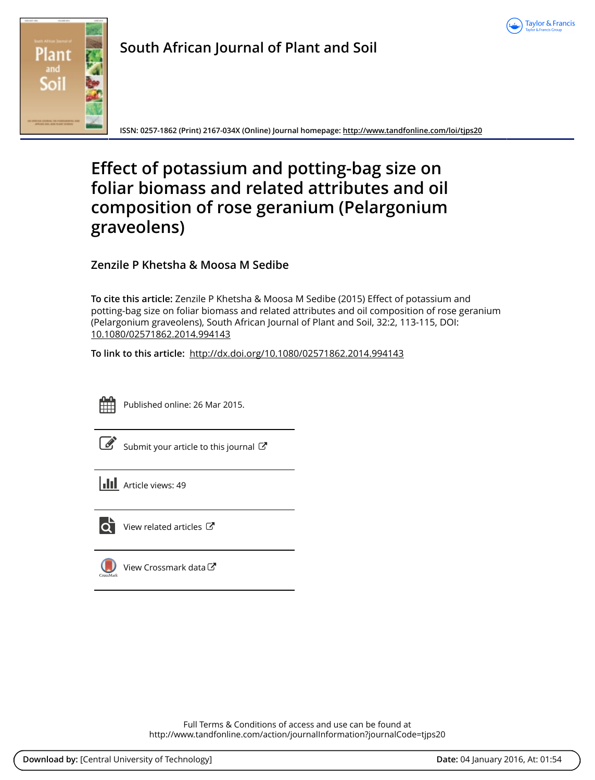



**South African Journal of Plant and Soil**

**ISSN: 0257-1862 (Print) 2167-034X (Online) Journal homepage: <http://www.tandfonline.com/loi/tjps20>**

# **Effect of potassium and potting-bag size on foliar biomass and related attributes and oil composition of rose geranium (Pelargonium graveolens)**

**Zenzile P Khetsha & Moosa M Sedibe**

**To cite this article:** Zenzile P Khetsha & Moosa M Sedibe (2015) Effect of potassium and potting-bag size on foliar biomass and related attributes and oil composition of rose geranium (Pelargonium graveolens), South African Journal of Plant and Soil, 32:2, 113-115, DOI: [10.1080/02571862.2014.994143](http://www.tandfonline.com/action/showCitFormats?doi=10.1080/02571862.2014.994143)

**To link to this article:** <http://dx.doi.org/10.1080/02571862.2014.994143>



Published online: 26 Mar 2015.

[Submit your article to this journal](http://www.tandfonline.com/action/authorSubmission?journalCode=tjps20&page=instructions)  $\mathbb{Z}$ 

**III** Article views: 49



 $\overrightarrow{Q}$  [View related articles](http://www.tandfonline.com/doi/mlt/10.1080/02571862.2014.994143)  $\overrightarrow{C}$ 

[View Crossmark data](http://crossmark.crossref.org/dialog/?doi=10.1080/02571862.2014.994143&domain=pdf&date_stamp=2015-03-26)

Full Terms & Conditions of access and use can be found at <http://www.tandfonline.com/action/journalInformation?journalCode=tjps20>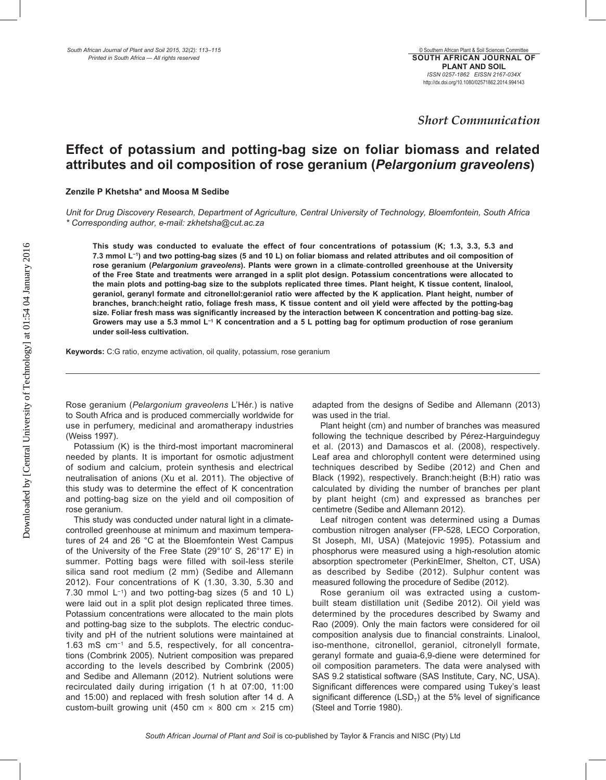### *Short Communication*

## **Effect of potassium and potting-bag size on foliar biomass and related attributes and oil composition of rose geranium (***Pelargonium graveolens***)**

### **Zenzile P Khetsha\* and Moosa M Sedibe**

*Unit for Drug Discovery Research, Department of Agriculture, Central University of Technology, Bloemfontein, South Africa \* Corresponding author, e-mail: zkhetsha@cut.ac.za*

**This study was conducted to evaluate the effect of four concentrations of potassium (K; 1.3, 3.3, 5.3 and 7.3 mmol L−1) and two potting-bag sizes (5 and 10 L) on foliar biomass and related attributes and oil composition of rose geranium (***Pelargonium graveolens***). Plants were grown in a climate-controlled greenhouse at the University of the Free State and treatments were arranged in a split plot design. Potassium concentrations were allocated to the main plots and potting-bag size to the subplots replicated three times. Plant height, K tissue content, linalool, geraniol, geranyl formate and citronellol:geraniol ratio were affected by the K application. Plant height, number of branches, branch:height ratio, foliage fresh mass, K tissue content and oil yield were affected by the potting-bag size. Foliar fresh mass was significantly increased by the interaction between K concentration and potting-bag size. Growers may use a 5.3 mmol L−1 K concentration and a 5 L potting bag for optimum production of rose geranium under soil-less cultivation.**

**Keywords:** C:G ratio, enzyme activation, oil quality, potassium, rose geranium

Rose geranium (*Pelargonium graveolens* L'Hér.) is native to South Africa and is produced commercially worldwide for use in perfumery, medicinal and aromatherapy industries (Weiss 1997).

Potassium (K) is the third-most important macromineral needed by plants. It is important for osmotic adjustment of sodium and calcium, protein synthesis and electrical neutralisation of anions (Xu et al. 2011). The objective of this study was to determine the effect of K concentration and potting-bag size on the yield and oil composition of rose geranium.

This study was conducted under natural light in a climatecontrolled greenhouse at minimum and maximum temperatures of 24 and 26 °C at the Bloemfontein West Campus of the University of the Free State (29°10′ S, 26°17′ E) in summer. Potting bags were filled with soil-less sterile silica sand root medium (2 mm) (Sedibe and Allemann 2012). Four concentrations of K (1.30, 3.30, 5.30 and 7.30 mmol L−1) and two potting-bag sizes (5 and 10 L) were laid out in a split plot design replicated three times. Potassium concentrations were allocated to the main plots and potting-bag size to the subplots. The electric conductivity and pH of the nutrient solutions were maintained at 1.63 mS cm−1 and 5.5, respectively, for all concentrations (Combrink 2005). Nutrient composition was prepared according to the levels described by Combrink (2005) and Sedibe and Allemann (2012). Nutrient solutions were recirculated daily during irrigation (1 h at 07:00, 11:00 and 15:00) and replaced with fresh solution after 14 d. A custom-built growing unit (450 cm  $\times$  800 cm  $\times$  215 cm) adapted from the designs of Sedibe and Allemann (2013) was used in the trial.

Plant height (cm) and number of branches was measured following the technique described by Pérez-Harguindeguy et al. (2013) and Damascos et al. (2008), respectively. Leaf area and chlorophyll content were determined using techniques described by Sedibe (2012) and Chen and Black (1992), respectively. Branch:height (B:H) ratio was calculated by dividing the number of branches per plant by plant height (cm) and expressed as branches per centimetre (Sedibe and Allemann 2012).

Leaf nitrogen content was determined using a Dumas combustion nitrogen analyser (FP-528, LECO Corporation, St Joseph, MI, USA) (Matejovic 1995). Potassium and phosphorus were measured using a high-resolution atomic absorption spectrometer (PerkinElmer, Shelton, CT, USA) as described by Sedibe (2012). Sulphur content was measured following the procedure of Sedibe (2012).

Rose geranium oil was extracted using a custombuilt steam distillation unit (Sedibe 2012). Oil yield was determined by the procedures described by Swamy and Rao (2009). Only the main factors were considered for oil composition analysis due to financial constraints. Linalool, iso-menthone, citronellol, geraniol, citronelyll formate, geranyl formate and guaia-6,9-diene were determined for oil composition parameters. The data were analysed with SAS 9.2 statistical software (SAS Institute, Cary, NC, USA). Significant differences were compared using Tukey's least significant difference (LSD<sub>T</sub>) at the 5% level of significance (Steel and Torrie 1980).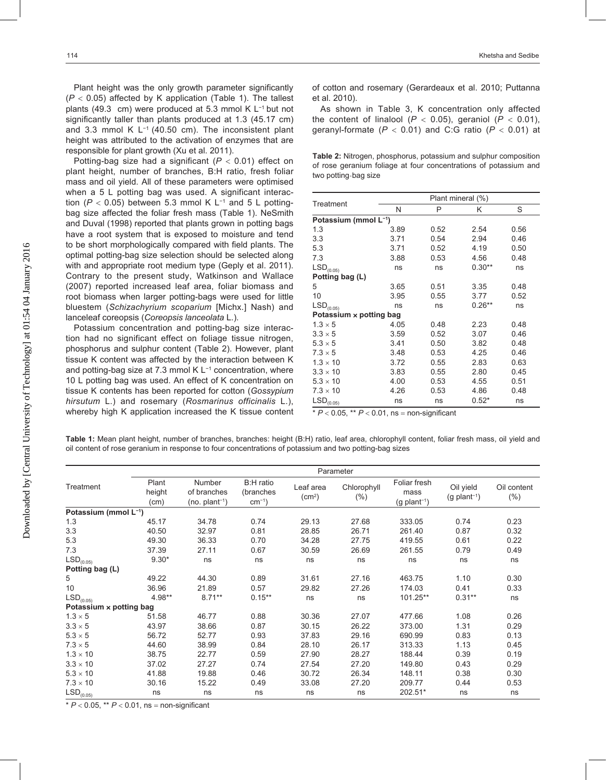Plant height was the only growth parameter significantly  $(P < 0.05)$  affected by K application (Table 1). The tallest plants (49.3 cm) were produced at 5.3 mmol K L−1 but not significantly taller than plants produced at 1.3 (45.17 cm) and 3.3 mmol K L−1 (40.50 cm). The inconsistent plant height was attributed to the activation of enzymes that are responsible for plant growth (Xu et al. 2011).

Potting-bag size had a significant (*P* < 0.01) effect on plant height, number of branches, B:H ratio, fresh foliar mass and oil yield. All of these parameters were optimised when a 5 L potting bag was used. A significant interaction ( $P$  < 0.05) between 5.3 mmol K L<sup>-1</sup> and 5 L pottingbag size affected the foliar fresh mass (Table 1). NeSmith and Duval (1998) reported that plants grown in potting bags have a root system that is exposed to moisture and tend to be short morphologically compared with field plants. The optimal potting-bag size selection should be selected along with and appropriate root medium type (Geply et al. 2011). Contrary to the present study, Watkinson and Wallace (2007) reported increased leaf area, foliar biomass and root biomass when larger potting-bags were used for little bluestem (*Schizachyrium scoparium* [Michx.] Nash) and lanceleaf coreopsis (*Coreopsis lanceolata* L.).

Potassium concentration and potting-bag size interaction had no significant effect on foliage tissue nitrogen, phosphorus and sulphur content (Table 2). However, plant tissue K content was affected by the interaction between K and potting-bag size at 7.3 mmol K L−1 concentration, where 10 L potting bag was used. An effect of K concentration on tissue K contents has been reported for cotton (*Gossypium hirsutum* L.) and rosemary (*Rosmarinus officinalis* L.), whereby high K application increased the K tissue content of cotton and rosemary (Gerardeaux et al. 2010; Puttanna et al. 2010).

As shown in Table 3, K concentration only affected the content of linalool  $(P < 0.05)$ , geraniol  $(P < 0.01)$ , geranyl-formate (*P* < 0.01) and C:G ratio (*P* < 0.01) at

**Table 2:** Nitrogen, phosphorus, potassium and sulphur composition of rose geranium foliage at four concentrations of potassium and two potting-bag size

| Treatment                      | Plant mineral (%) |      |          |      |  |  |  |
|--------------------------------|-------------------|------|----------|------|--|--|--|
|                                | N                 | P    | Κ        | S    |  |  |  |
| Potassium (mmol L-1)           |                   |      |          |      |  |  |  |
| 1.3                            | 3.89              | 0.52 | 2.54     | 0.56 |  |  |  |
| 3.3                            | 3.71              | 0.54 | 2.94     | 0.46 |  |  |  |
| 5.3                            | 3.71              | 0.52 | 4.19     | 0.50 |  |  |  |
| 7.3                            | 3.88              | 0.53 | 4.56     | 0.48 |  |  |  |
| $LSD_{(0.05)}$                 | ns                | ns   | $0.30**$ | ns   |  |  |  |
| Potting bag (L)                |                   |      |          |      |  |  |  |
| 5                              | 3.65              | 0.51 | 3.35     | 0.48 |  |  |  |
| 10                             | 3.95              | 0.55 | 3.77     | 0.52 |  |  |  |
| $\mathsf{LSD}_{(0.05)}$        | ns                | ns   | $0.26**$ | ns   |  |  |  |
| Potassium $\times$ potting bag |                   |      |          |      |  |  |  |
| $1.3 \times 5$                 | 4.05              | 0.48 | 2.23     | 0.48 |  |  |  |
| $3.3 \times 5$                 | 3.59              | 0.52 | 3.07     | 0.46 |  |  |  |
| $5.3 \times 5$                 | 3.41              | 0.50 | 3.82     | 0.48 |  |  |  |
| $7.3 \times 5$                 | 3.48              | 0.53 | 4.25     | 0.46 |  |  |  |
| $1.3 \times 10$                | 3.72              | 0.55 | 2.83     | 0.63 |  |  |  |
| $3.3 \times 10$                | 3.83              | 0.55 | 2.80     | 0.45 |  |  |  |
| $5.3 \times 10$                | 4.00              | 0.53 | 4.55     | 0.51 |  |  |  |
| $7.3 \times 10$                | 4.26              | 0.53 | 4.86     | 0.48 |  |  |  |
| $LSD_{(0.05)}$                 | ns                | ns   | $0.52*$  | ns   |  |  |  |

\* *P* < 0.05, \*\* *P* < 0.01, ns = non-significant

**Table 1:** Mean plant height, number of branches, branches: height (B:H) ratio, leaf area, chlorophyll content, foliar fresh mass, oil yield and oil content of rose geranium in response to four concentrations of potassium and two potting-bag sizes

| Treatment               |                         | Parameter                                |                                       |                                 |                     |                                                    |                                         |                        |  |
|-------------------------|-------------------------|------------------------------------------|---------------------------------------|---------------------------------|---------------------|----------------------------------------------------|-----------------------------------------|------------------------|--|
|                         | Plant<br>height<br>(cm) | Number<br>of branches<br>$(no. plant-1)$ | B:H ratio<br>(branches<br>$cm^{-1}$ ) | Leaf area<br>(cm <sup>2</sup> ) | Chlorophyll<br>(% ) | Foliar fresh<br>mass<br>$(g$ plant <sup>-1</sup> ) | Oil yield<br>$(g$ plant <sup>-1</sup> ) | Oil content<br>$(\% )$ |  |
| Potassium (mmol L-1)    |                         |                                          |                                       |                                 |                     |                                                    |                                         |                        |  |
| 1.3                     | 45.17                   | 34.78                                    | 0.74                                  | 29.13                           | 27.68               | 333.05                                             | 0.74                                    | 0.23                   |  |
| 3.3                     | 40.50                   | 32.97                                    | 0.81                                  | 28.85                           | 26.71               | 261.40                                             | 0.87                                    | 0.32                   |  |
| 5.3                     | 49.30                   | 36.33                                    | 0.70                                  | 34.28                           | 27.75               | 419.55                                             | 0.61                                    | 0.22                   |  |
| 7.3                     | 37.39                   | 27.11                                    | 0.67                                  | 30.59                           | 26.69               | 261.55                                             | 0.79                                    | 0.49                   |  |
| $\mathsf{LSD}_{(0.05)}$ | $9.30*$                 | ns                                       | ns                                    | ns                              | ns                  | ns                                                 | ns                                      | ns                     |  |
| Potting bag (L)         |                         |                                          |                                       |                                 |                     |                                                    |                                         |                        |  |
| 5                       | 49.22                   | 44.30                                    | 0.89                                  | 31.61                           | 27.16               | 463.75                                             | 1.10                                    | 0.30                   |  |
| 10                      | 36.96                   | 21.89                                    | 0.57                                  | 29.82                           | 27.26               | 174.03                                             | 0.41                                    | 0.33                   |  |
| $LSD$ <sub>(0.05)</sub> | 4.98**                  | $8.71***$                                | $0.15***$                             | ns                              | ns                  | 101.25**                                           | $0.31**$                                | ns                     |  |
| Potassium x potting bag |                         |                                          |                                       |                                 |                     |                                                    |                                         |                        |  |
| $1.3 \times 5$          | 51.58                   | 46.77                                    | 0.88                                  | 30.36                           | 27.07               | 477.66                                             | 1.08                                    | 0.26                   |  |
| $3.3 \times 5$          | 43.97                   | 38.66                                    | 0.87                                  | 30.15                           | 26.22               | 373.00                                             | 1.31                                    | 0.29                   |  |
| $5.3 \times 5$          | 56.72                   | 52.77                                    | 0.93                                  | 37.83                           | 29.16               | 690.99                                             | 0.83                                    | 0.13                   |  |
| $7.3 \times 5$          | 44.60                   | 38.99                                    | 0.84                                  | 28.10                           | 26.17               | 313.33                                             | 1.13                                    | 0.45                   |  |
| $1.3 \times 10$         | 38.75                   | 22.77                                    | 0.59                                  | 27.90                           | 28.27               | 188.44                                             | 0.39                                    | 0.19                   |  |
| $3.3 \times 10$         | 37.02                   | 27.27                                    | 0.74                                  | 27.54                           | 27.20               | 149.80                                             | 0.43                                    | 0.29                   |  |
| $5.3 \times 10$         | 41.88                   | 19.88                                    | 0.46                                  | 30.72                           | 26.34               | 148.11                                             | 0.38                                    | 0.30                   |  |
| $7.3 \times 10$         | 30.16                   | 15.22                                    | 0.49                                  | 33.08                           | 27.20               | 209.77                                             | 0.44                                    | 0.53                   |  |
| $LSD_{(0.05)}$          | ns                      | ns                                       | ns                                    | ns                              | ns                  | 202.51*                                            | ns                                      | ns                     |  |

Downloaded by [Central University of Technology] at 01:54 04 January 2016 Downloaded by [Central University of Technology] at 01:54 04 January 2016